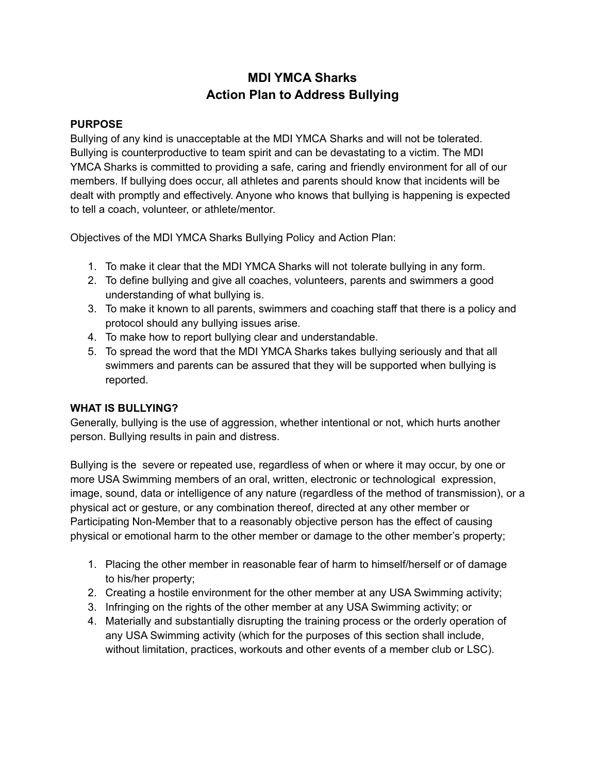# **MDI YMCA Sharks Action Plan to Address Bullying**

#### **PURPOSE**

Bullying of any kind is unacceptable at the MDI YMCA Sharks and will not be tolerated. Bullying is counterproductive to team spirit and can be devastating to a victim. The MDI YMCA Sharks is committed to providing a safe, caring and friendly environment for all of our members. If bullying does occur, all athletes and parents should know that incidents will be dealt with promptly and effectively. Anyone who knows that bullying is happening is expected to tell a coach, volunteer, or athlete/mentor.

Objectives of the MDI YMCA Sharks Bullying Policy and Action Plan:

- 1. To make it clear that the MDI YMCA Sharks will not tolerate bullying in any form.
- 2. To define bullying and give all coaches, volunteers, parents and swimmers a good understanding of what bullying is.
- 3. To make it known to all parents, swimmers and coaching staff that there is a policy and protocol should any bullying issues arise.
- 4. To make how to report bullying clear and understandable.
- 5. To spread the word that the MDI YMCA Sharks takes bullying seriously and that all swimmers and parents can be assured that they will be supported when bullying is reported.

#### **WHAT IS BULLYING?**

Generally, bullying is the use of aggression, whether intentional or not, which hurts another person. Bullying results in pain and distress.

Bullying is the severe or repeated use, regardless of when or where it may occur, by one or more USA Swimming members of an oral, written, electronic or technological expression, image, sound, data or intelligence of any nature (regardless of the method of transmission), or a physical act or gesture, or any combination thereof, directed at any other member or Participating Non-Member that to a reasonably objective person has the effect of causing physical or emotional harm to the other member or damage to the other member's property;

- 1. Placing the other member in reasonable fear of harm to himself/herself or of damage to his/her property;
- 2. Creating a hostile environment for the other member at any USA Swimming activity;
- 3. Infringing on the rights of the other member at any USA Swimming activity; or
- 4. Materially and substantially disrupting the training process or the orderly operation of any USA Swimming activity (which for the purposes of this section shall include, without limitation, practices, workouts and other events of a member club or LSC).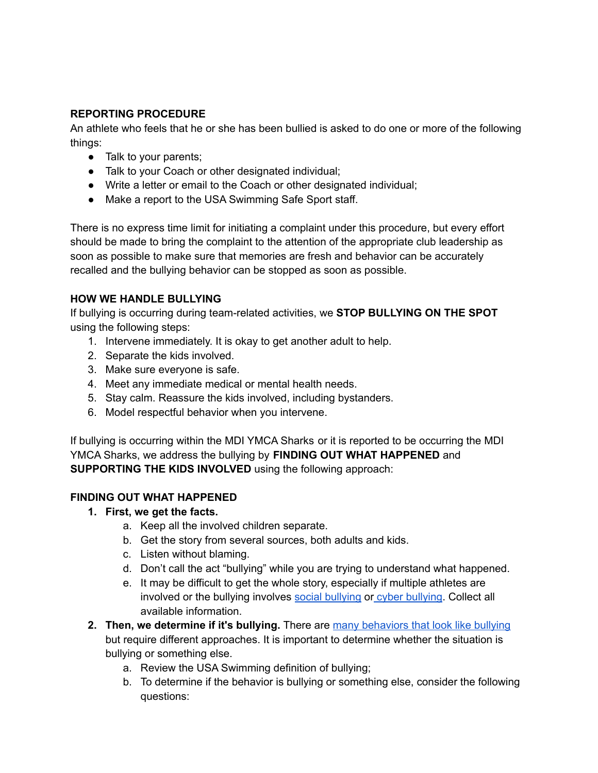### **REPORTING PROCEDURE**

An athlete who feels that he or she has been bullied is asked to do one or more of the following things:

- Talk to your parents;
- Talk to your Coach or other designated individual;
- Write a letter or email to the Coach or other designated individual;
- Make a report to the USA Swimming Safe Sport staff.

There is no express time limit for initiating a complaint under this procedure, but every effort should be made to bring the complaint to the attention of the appropriate club leadership as soon as possible to make sure that memories are fresh and behavior can be accurately recalled and the bullying behavior can be stopped as soon as possible.

# **HOW WE HANDLE BULLYING**

If bullying is occurring during team-related activities, we **STOP BULLYING ON THE SPOT** using the following steps:

- 1. Intervene immediately. It is okay to get another adult to help.
- 2. Separate the kids involved.
- 3. Make sure everyone is safe.
- 4. Meet any immediate medical or mental health needs.
- 5. Stay calm. Reassure the kids involved, including bystanders.
- 6. Model respectful behavior when you intervene.

If bullying is occurring within the MDI YMCA Sharks or it is reported to be occurring the MDI YMCA Sharks, we address the bullying by **FINDING OUT WHAT HAPPENED** and **SUPPORTING THE KIDS INVOLVED** using the following approach:

## **FINDING OUT WHAT HAPPENED**

- **1. First, we get the facts.**
	- a. Keep all the involved children separate.
	- b. Get the story from several sources, both adults and kids.
	- c. Listen without blaming.
	- d. Don't call the act "bullying" while you are trying to understand what happened.
	- e. It may be difficult to get the whole story, especially if multiple athletes are involved or the [bullying](http://www.stopbullying.gov/cyberbullying/index.html) involves social bullying or cyber bullying. Collect all available information.
- **2. Then, we determine if it's bullying.** There are many [behaviors](http://www.stopbullying.gov/what-is-bullying/related-topics/index.html) that look like bullying but require different approaches. It is important to determine whether the situation is bullying or something else.
	- a. Review the USA Swimming definition of bullying;
	- b. To determine if the behavior is bullying or something else, consider the following questions: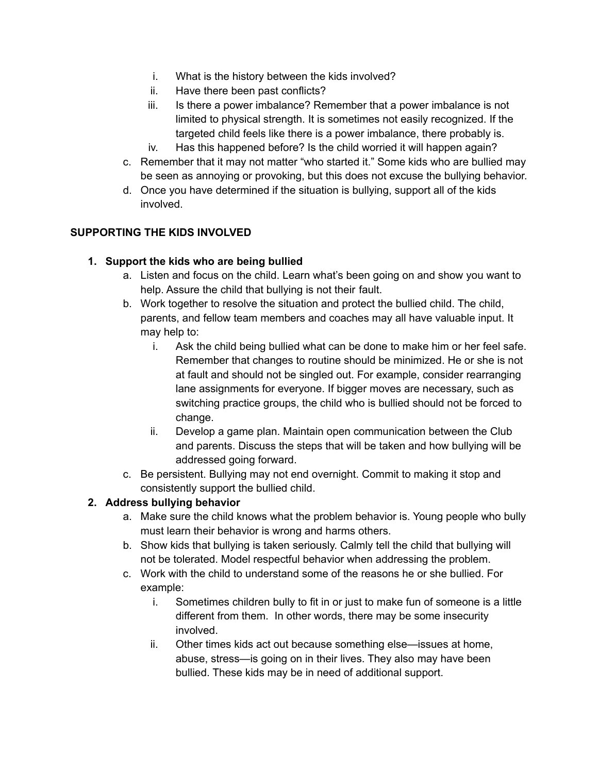- i. What is the history between the kids involved?
- ii. Have there been past conflicts?
- iii. Is there a power imbalance? Remember that a power imbalance is not limited to physical strength. It is sometimes not easily recognized. If the targeted child feels like there is a power imbalance, there probably is.
- iv. Has this happened before? Is the child worried it will happen again?
- c. Remember that it may not matter "who started it." Some kids who are bullied may be seen as annoying or provoking, but this does not excuse the bullying behavior.
- d. Once you have determined if the situation is bullying, support all of the kids involved.

### **SUPPORTING THE KIDS INVOLVED**

### **1. Support the kids who are being bullied**

- a. Listen and focus on the child. Learn what's been going on and show you want to help. Assure the child that bullying is not their fault.
- b. Work together to resolve the situation and protect the bullied child. The child, parents, and fellow team members and coaches may all have valuable input. It may help to:
	- i. Ask the child being bullied what can be done to make him or her feel safe. Remember that changes to routine should be minimized. He or she is not at fault and should not be singled out. For example, consider rearranging lane assignments for everyone. If bigger moves are necessary, such as switching practice groups, the child who is bullied should not be forced to change.
	- ii. Develop a game plan. Maintain open communication between the Club and parents. Discuss the steps that will be taken and how bullying will be addressed going forward.
- c. Be persistent. Bullying may not end overnight. Commit to making it stop and consistently support the bullied child.

### **2. Address bullying behavior**

- a. Make sure the child knows what the problem behavior is. Young people who bully must learn their behavior is wrong and harms others.
- b. Show kids that bullying is taken seriously. Calmly tell the child that bullying will not be tolerated. Model respectful behavior when addressing the problem.
- c. Work with the child to understand some of the reasons he or she bullied. For example:
	- i. Sometimes children bully to fit in or just to make fun of someone is a little different from them. In other words, there may be some insecurity involved.
	- ii. Other times kids act out because something else—issues at home, abuse, stress—is going on in their lives. They also may have been bullied. These kids may be in need of additional support.